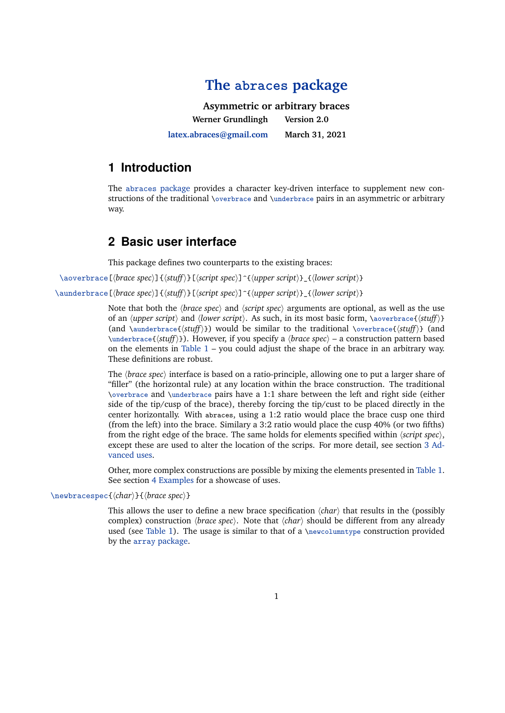# **The abraces [package](http://ctan.org/pkg/abraces)**

**Asymmetric or arbitrary braces Werner Grundlingh [latex.abraces@gmail.com](mailto:latex.abraces@gmail.com) Version 2.0 March 31, 2021**

#### **1 Introduction**

The [abraces](http://ctan.org/pkg/abraces) package provides a character key-driven interface to supplement new constructions of the traditional \overbrace and \underbrace pairs in an asymmetric or arbitrary way.

#### **2 Basic user interface**

This package defines two counterparts to the existing braces:

\aoverbrace[*{brace spec}*]{*{stuff}*}[*{script spec}*]^{*{upper script}*}\_{*{lower script}*}

\aunderbrace[*{brace spec}*]{*{stuff}*}[*{script spec}*]^{*{upper script}*} {*{lower script}*}

Note that both the  $\langle brace\ spec \rangle$  and  $\langle script\ spec \rangle$  arguments are optional, as well as the use of an  $\langle upper\ script\rangle$  and  $\langle lower\ script\rangle$ . As such, in its most basic form,  $\aoverbrace{\{stuff\rangle\}}$ (and  $\langle \text{sumderbrace}(stat) \rangle$ ) would be similar to the traditional  $\overline{\langle \text{struff} \rangle}$  (and \underbrace{h*stuff*i}). However, if you specify a h*brace spec*i – a construction pattern based on the elements in [Table 1](#page-1-0) – you could adjust the shape of the brace in an arbitrary way. These definitions are robust.

The *(brace spec)* interface is based on a ratio-principle, allowing one to put a larger share of "filler" (the horizontal rule) at any location within the brace construction. The traditional \overbrace and \underbrace pairs have a 1:1 share between the left and right side (either side of the tip/cusp of the brace), thereby forcing the tip/cust to be placed directly in the center horizontally. With abraces, using a 1:2 ratio would place the brace cusp one third (from the left) into the brace. Similary a 3:2 ratio would place the cusp 40% (or two fifths) from the right edge of the brace. The same holds for elements specified within *(script spec*), except these are used to alter the location of the scrips. For more detail, see section [3 Ad](#page-1-0)[vanced uses.](#page-1-0)

Other, more complex constructions are possible by mixing the elements presented in [Table 1.](#page-1-0) See section [4 Examples](#page-2-0) for a showcase of uses.

#### \newbracespec{*\char*}}{*\brace spec*}}

This allows the user to define a new brace specification  $\langle char \rangle$  that results in the (possibly complex) construction *(brace spec)*. Note that  $\langle char \rangle$  should be different from any already used (see [Table 1\)](#page-1-0). The usage is similar to that of a \newcolumntype construction provided by the array [package.](http://ctan.org/pkg/array)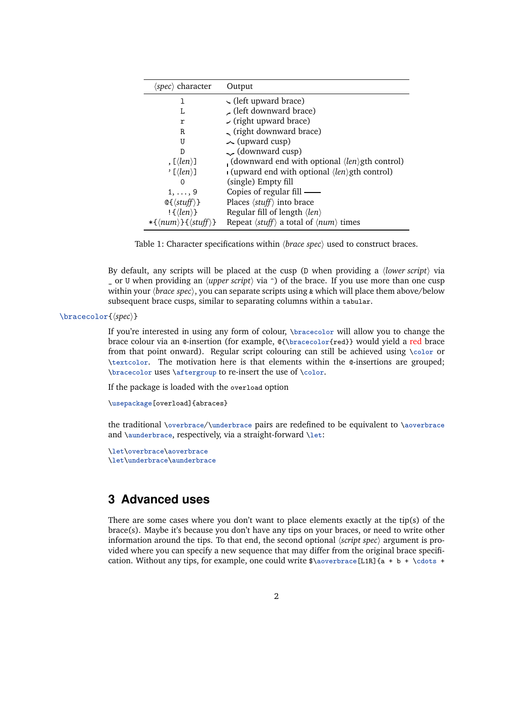<span id="page-1-0"></span>

| $\langle spec \rangle$ character                     | Output                                                                         |
|------------------------------------------------------|--------------------------------------------------------------------------------|
| 1                                                    | $\sim$ (left upward brace)                                                     |
| L                                                    | (left downward brace)                                                          |
| r                                                    | $\sim$ (right upward brace)                                                    |
| R.                                                   | (right downward brace)                                                         |
| U                                                    | $\sim$ (upward cusp)                                                           |
| D                                                    | (downward cusp)                                                                |
| , $\lfloor \langle len \rangle \rfloor$              | (downward end with optional $\langle len \rangle$ gth control)                 |
| ' [ $\langle len \rangle$ ]                          | $\blacksquare$ (upward end with optional $\langle len \rangle$ gth control)    |
| ∩                                                    | (single) Empty fill                                                            |
| $1, \ldots, 9$                                       | Copies of regular fill —                                                       |
| $\mathbb{Q}\{\langle stuff\rangle\}$                 | Places $\langle$ <i>stuff</i> $\rangle$ into brace                             |
| $\frac{1}{\text{Re}}$                                | Regular fill of length $\langle len \rangle$                                   |
| $*(\langle num \rangle) \{ \langle stuff \rangle \}$ | Repeat $\langle$ <i>stuff</i> $\rangle$ a total of $\langle num \rangle$ times |

Table 1: Character specifications within  $\langle$ *brace spec* $\rangle$  used to construct braces.

By default, any scripts will be placed at the cusp (D when providing a *{lower script}* via \_ or U when providing an h*upper script*i via ^) of the brace. If you use more than one cusp within your  $\langle brace\ spec \rangle$ , you can separate scripts using  $\&$  which will place them above/below subsequent brace cusps, similar to separating columns within a tabular.

#### \bracecolor{ $\langle spec \rangle$ }

If you're interested in using any form of colour, \bracecolor will allow you to change the brace colour via an @-insertion (for example, @{\bracecolor{red}} would yield a red brace from that point onward). Regular script colouring can still be achieved using \color or \textcolor. The motivation here is that elements within the @-insertions are grouped; \bracecolor uses \aftergroup to re-insert the use of \color.

If the package is loaded with the overload option

```
\usepackage[overload]{abraces}
```
the traditional \overbrace/\underbrace pairs are redefined to be equivalent to \aoverbrace and \aunderbrace, respectively, via a straight-forward \let:

```
\let\overbrace\aoverbrace
\let\underbrace\aunderbrace
```
#### **3 Advanced uses**

There are some cases where you don't want to place elements exactly at the tip(s) of the brace(s). Maybe it's because you don't have any tips on your braces, or need to write other information around the tips. To that end, the second optional  $\langle script\ spec \rangle$  argument is provided where you can specify a new sequence that may differ from the original brace specification. Without any tips, for example, one could write  $\alpha = L1R$  {a + b + \cdots +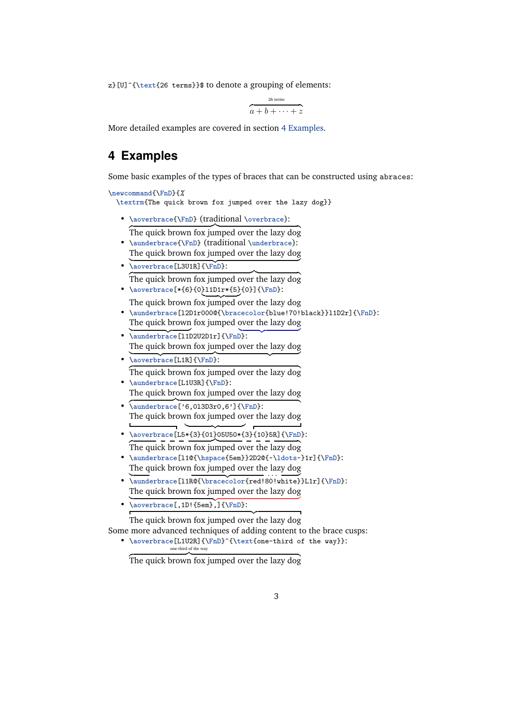<span id="page-2-0"></span> $z$ [U]^{\text{26 terms}}\$ to denote a grouping of elements:

$$
\overbrace{a+b+\cdots+z}^{\text{26 terms}}
$$

More detailed examples are covered in section 4 Examples.

#### **4 Examples**

Some basic examples of the types of braces that can be constructed using abraces:

```
\newcommand{\FnD}{%
  \textrm{The quick brown fox jumped over the lazy dog}}
```
• \aoverbrace{\FnD} (traditional \overbrace):

The quick brown fox jumped over the lazy dog

- \aunderbrace{\FnD} (traditional \underbrace): The quick brown fox jumped over the lazy dog
- $\bullet$  \aoverbrace[L3U1R]{\FnD}: The quick brown fox jumped over the lazy dog
- \aoverbrace[\*{6}{0}l1D1r\*{5}{0}]{\FnD}: The quick brown fox jumped over the lazy dog
- \aunderbrace[l2D1r000@{\bracecolor{blue!70!black}}l1D2r]{\FnD}: The quick brown fox jumped over the lazy dog
- $\{\Phi\}:$ The quick brown fox jumped over the lazy dog
- $\bullet$  \aoverbrace[L1R]{\FnD}: The quick brown fox jumped over the lazy dog
- \aunderbrace[L1U3R]{\FnD}: The quick brown fox jumped over the lazy dog
- $\overline{\{\nabla \cdot f(\zeta_0)\}:\nabla \cdot f(\zeta_0) = \frac{1}{\sigma^2}$ The quick brown fox jumped over the lazy dog
- \aoverbrace[L5\*{3}{01}05U50\*{3}{10}5R]{\FnD}:  $\overline{z}$  =  $\overline{z}$  =  $\overline{z}$  =  $\overline{z}$  =  $\overline{z}$  =  $\overline{z}$  =  $\overline{z}$  =  $\overline{z}$  =  $\overline{z}$  =  $\overline{z}$  =  $\overline{z}$  =  $\overline{z}$  =  $\overline{z}$  =  $\overline{z}$  =  $\overline{z}$  =  $\overline{z}$  =  $\overline{z}$  =  $\overline{z}$  =  $\overline{z}$  =  $\overline{z}$  =
- \aunderbrace[l1@{\hspace{5em}}2D2@{~\ldots~}1r]{\FnD}: The quick brown fox jumped over the lazy dog
- \aunderbrace[l1R@{\bracecolor{red!80!white}}L1r]{\FnD}: The quick brown fox jumped over the lazy dog
- $\bullet$  \aoverbrace[,1D!{5em},]{\FnD}:

{z The quick brown fox jumped over the lazy dog

Some more advanced techniques of adding content to the brace cusps:

• \aoverbrace[L1U2R]{\FnD}^{\text{one-third of the way}}: one-third of the way

The quick brown fox jumped over the lazy dog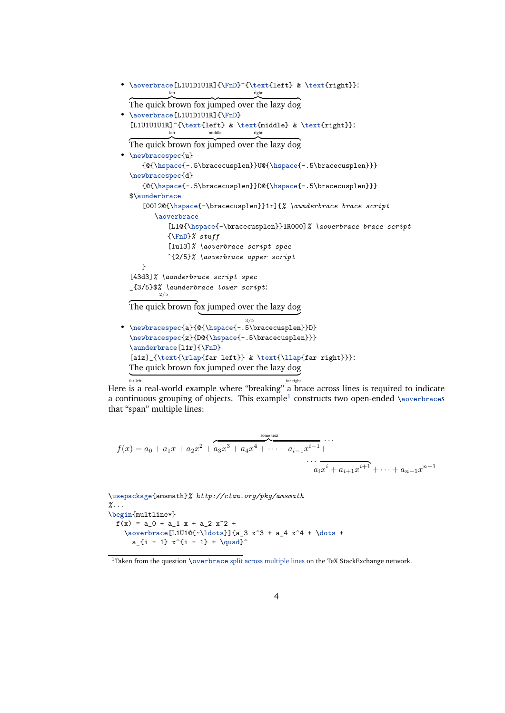```
• \aoverbrace[L1U1D1U1R]{\FnD}^{\text{left} & \text{right}}:
                                  right
  The quick brown fox jumped over the lazy dog
• \aoverbrace[L1U1D1U1R]{\FnD}
  [L1U1U1U1R]^{\text{left} & \text{middle} & \text{right}}:
                      middle right
  The quick brown fox jumped over the lazy dog
• \newbracespec{u}
     {@{\hspace{-.5\bracecusplen}}U@{\hspace{-.5\bracecusplen}}}
  \newbracespec{d}
     {@{\hspace{-.5\bracecusplen}}D@{\hspace{-.5\bracecusplen}}}
  $\aunderbrace
     [00l2@{\hspace{-\bracecusplen}}1r]{% \aunderbrace brace script
        \aoverbrace
            [L1@{\hspace{-\bracecusplen}}1R000]% \aoverbrace brace script
            {\FnD}% stuff
            [1u13]% \aoverbrace script spec
            ^{2/5}% \aoverbrace upper script
     }
  [43d3]% \aunderbrace script spec
  _{3/5}$% \aunderbrace lower script:
          2/5
  The quick brown fox jumped over the lazy dog
                    | }
3/5
• \newbracespec{a}{@{\hspace{-.5\bracecusplen}}D}
  \newbracespec{z}{D@{\hspace{-.5\bracecusplen}}}
  \aunderbrace[l1r]{\FnD}
  [a1z]_{\text{\frac{far left}} \& \text{\llap{far right}}:
  The quick brown fox jumped over the lazy dog
  far left far left til andre større større større større større større større større større større større størr
  far left far right
```
Here is a real-world example where "breaking" a brace across lines is required to indicate a continuous grouping of objects. This example $^1$  constructs two open-ended  $\setminus$ aoverbraces that "span" multiple lines:

$$
f(x) = a_0 + a_1x + a_2x^2 + a_3x^3 + a_4x^4 + \dots + a_{i-1}x^{i-1} + \dots + a_{i+1}x^{i+1} + \dots + a_{n-1}x^{n-1}
$$

\usepackage{amsmath}*% http://ctan.org/pkg/amsmath %...* \begin{multline\*}  $f(x) = a_0 + a_1 x + a_2 x^2 +$  $\overline{\L1U1@{-\ldots}}$  ${a_3 x^3 + a_4 x^4 + \dots +$  $a_{i} - 1} x^{i - 1} + \qquad u$ 

<sup>&</sup>lt;sup>1</sup>Taken from the question \overbrace [split across multiple lines](http://tex.stackexchange.com/q/25510/5764) on the TeX StackExchange network.